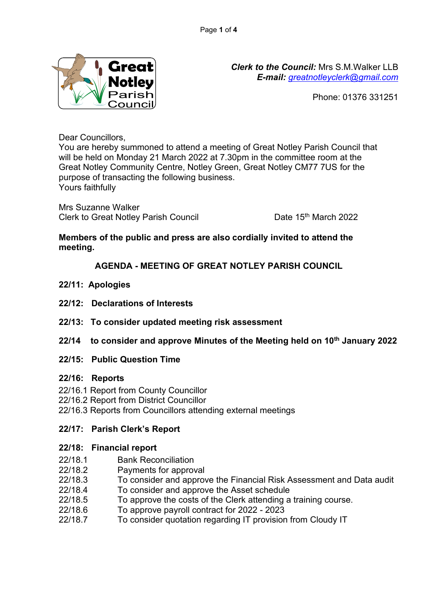

*Clerk to the Council:* Mrs S.M.Walker LLB *E-mail: [greatnotleyclerk@gmail.com](mailto:greatnotleyclerk@gmail.com)*

Phone: 01376 331251

Dear Councillors,

You are hereby summoned to attend a meeting of Great Notley Parish Council that will be held on Monday 21 March 2022 at 7.30pm in the committee room at the Great Notley Community Centre, Notley Green, Great Notley CM77 7US for the purpose of transacting the following business. Yours faithfully

Mrs Suzanne Walker Clerk to Great Notley Parish Council Date 15<sup>th</sup> March 2022

## **Members of the public and press are also cordially invited to attend the meeting.**

# **AGENDA - MEETING OF GREAT NOTLEY PARISH COUNCIL**

- **22/11: Apologies**
- **22/12: Declarations of Interests**
- **22/13: To consider updated meeting risk assessment**
- **22/14 to consider and approve Minutes of the Meeting held on 10th January 2022**
- **22/15: Public Question Time**

### **22/16: Reports**

- 22/16.1 Report from County Councillor
- 22/16.2 Report from District Councillor
- 22/16.3 Reports from Councillors attending external meetings

## **22/17: Parish Clerk's Report**

### **22/18: Financial report**

- 22/18.1 Bank Reconciliation
- 22/18.2 Payments for approval
- 22/18.3 To consider and approve the Financial Risk Assessment and Data audit
- 22/18.4 To consider and approve the Asset schedule
- 22/18.5 To approve the costs of the Clerk attending a training course.
- 22/18.6 To approve payroll contract for 2022 2023
- 22/18.7 To consider quotation regarding IT provision from Cloudy IT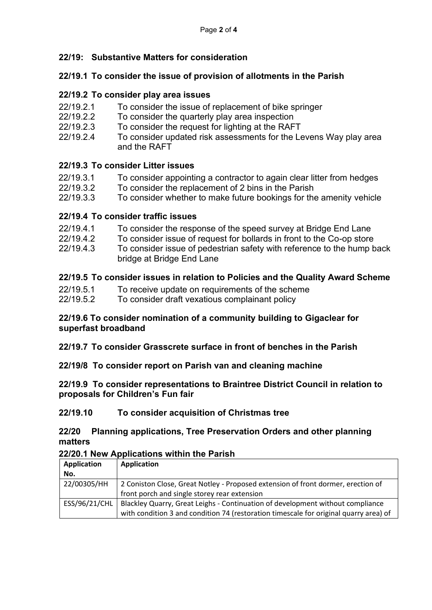## **22/19: Substantive Matters for consideration**

### **22/19.1 To consider the issue of provision of allotments in the Parish**

### **22/19.2 To consider play area issues**

- 22/19.2.1 To consider the issue of replacement of bike springer
- 22/19.2.2 To consider the quarterly play area inspection
- 22/19.2.3 To consider the request for lighting at the RAFT
- 22/19.2.4 To consider updated risk assessments for the Levens Way play area and the RAFT

### **22/19.3 To consider Litter issues**

- 22/19.3.1 To consider appointing a contractor to again clear litter from hedges
- 22/19.3.2 To consider the replacement of 2 bins in the Parish
- 22/19.3.3 To consider whether to make future bookings for the amenity vehicle

### **22/19.4 To consider traffic issues**

- 22/19.4.1 To consider the response of the speed survey at Bridge End Lane
- 22/19.4.2 To consider issue of request for bollards in front to the Co-op store
- 22/19.4.3 To consider issue of pedestrian safety with reference to the hump back bridge at Bridge End Lane

## **22/19.5 To consider issues in relation to Policies and the Quality Award Scheme**

- 22/19.5.1 To receive update on requirements of the scheme
- 22/19.5.2 To consider draft vexatious complainant policy

### **22/19.6 To consider nomination of a community building to Gigaclear for superfast broadband**

**22/19.7 To consider Grasscrete surface in front of benches in the Parish**

**22/19/8 To consider report on Parish van and cleaning machine**

### **22/19.9 To consider representations to Braintree District Council in relation to proposals for Children's Fun fair**

### **22/19.10 To consider acquisition of Christmas tree**

### **22/20 Planning applications, Tree Preservation Orders and other planning matters**

### **22/20.1 New Applications within the Parish**

| <b>Application</b> | <b>Application</b>                                                                    |
|--------------------|---------------------------------------------------------------------------------------|
| No.                |                                                                                       |
| 22/00305/HH        | 2 Coniston Close, Great Notley - Proposed extension of front dormer, erection of      |
|                    | front porch and single storey rear extension                                          |
| ESS/96/21/CHL      | Blackley Quarry, Great Leighs - Continuation of development without compliance        |
|                    | with condition 3 and condition 74 (restoration timescale for original quarry area) of |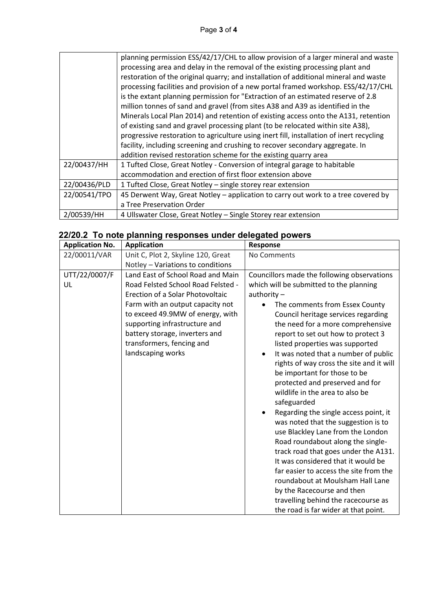|              | planning permission ESS/42/17/CHL to allow provision of a larger mineral and waste       |  |
|--------------|------------------------------------------------------------------------------------------|--|
|              | processing area and delay in the removal of the existing processing plant and            |  |
|              | restoration of the original quarry; and installation of additional mineral and waste     |  |
|              | processing facilities and provision of a new portal framed workshop. ESS/42/17/CHL       |  |
|              | is the extant planning permission for "Extraction of an estimated reserve of 2.8         |  |
|              | million tonnes of sand and gravel (from sites A38 and A39 as identified in the           |  |
|              | Minerals Local Plan 2014) and retention of existing access onto the A131, retention      |  |
|              | of existing sand and gravel processing plant (to be relocated within site A38),          |  |
|              | progressive restoration to agriculture using inert fill, installation of inert recycling |  |
|              | facility, including screening and crushing to recover secondary aggregate. In            |  |
|              | addition revised restoration scheme for the existing quarry area                         |  |
| 22/00437/HH  | 1 Tufted Close, Great Notley - Conversion of integral garage to habitable                |  |
|              | accommodation and erection of first floor extension above                                |  |
| 22/00436/PLD | 1 Tufted Close, Great Notley - single storey rear extension                              |  |
| 22/00541/TPO | 45 Derwent Way, Great Notley - application to carry out work to a tree covered by        |  |
|              | a Tree Preservation Order                                                                |  |
| 2/00539/HH   | 4 Ullswater Close, Great Notley - Single Storey rear extension                           |  |

|  |  |  | 22/20.2 To note planning responses under delegated powers |  |  |  |
|--|--|--|-----------------------------------------------------------|--|--|--|
|--|--|--|-----------------------------------------------------------|--|--|--|

| <b>Application No.</b> | <b>Application</b>                                                                                                                                                                                                                                                                                       | <b>Response</b>                                                                                                                                                                                                                                                                                                                                                                                                                                                                                                                                                                                                                                                                                                                                 |  |
|------------------------|----------------------------------------------------------------------------------------------------------------------------------------------------------------------------------------------------------------------------------------------------------------------------------------------------------|-------------------------------------------------------------------------------------------------------------------------------------------------------------------------------------------------------------------------------------------------------------------------------------------------------------------------------------------------------------------------------------------------------------------------------------------------------------------------------------------------------------------------------------------------------------------------------------------------------------------------------------------------------------------------------------------------------------------------------------------------|--|
| 22/00011/VAR           | Unit C, Plot 2, Skyline 120, Great                                                                                                                                                                                                                                                                       | No Comments                                                                                                                                                                                                                                                                                                                                                                                                                                                                                                                                                                                                                                                                                                                                     |  |
|                        | Notley - Variations to conditions                                                                                                                                                                                                                                                                        |                                                                                                                                                                                                                                                                                                                                                                                                                                                                                                                                                                                                                                                                                                                                                 |  |
| UTT/22/0007/F<br>UL    | Land East of School Road and Main<br>Road Felsted School Road Felsted -<br>Erection of a Solar Photovoltaic<br>Farm with an output capacity not<br>to exceed 49.9MW of energy, with<br>supporting infrastructure and<br>battery storage, inverters and<br>transformers, fencing and<br>landscaping works | Councillors made the following observations<br>which will be submitted to the planning<br>authority $-$<br>The comments from Essex County<br>Council heritage services regarding<br>the need for a more comprehensive<br>report to set out how to protect 3<br>listed properties was supported<br>It was noted that a number of public<br>rights of way cross the site and it will<br>be important for those to be<br>protected and preserved and for<br>wildlife in the area to also be<br>safeguarded<br>Regarding the single access point, it<br>was noted that the suggestion is to<br>use Blackley Lane from the London<br>Road roundabout along the single-<br>track road that goes under the A131.<br>It was considered that it would be |  |
|                        |                                                                                                                                                                                                                                                                                                          | far easier to access the site from the<br>roundabout at Moulsham Hall Lane<br>by the Racecourse and then<br>travelling behind the racecourse as                                                                                                                                                                                                                                                                                                                                                                                                                                                                                                                                                                                                 |  |
|                        |                                                                                                                                                                                                                                                                                                          | the road is far wider at that point.                                                                                                                                                                                                                                                                                                                                                                                                                                                                                                                                                                                                                                                                                                            |  |